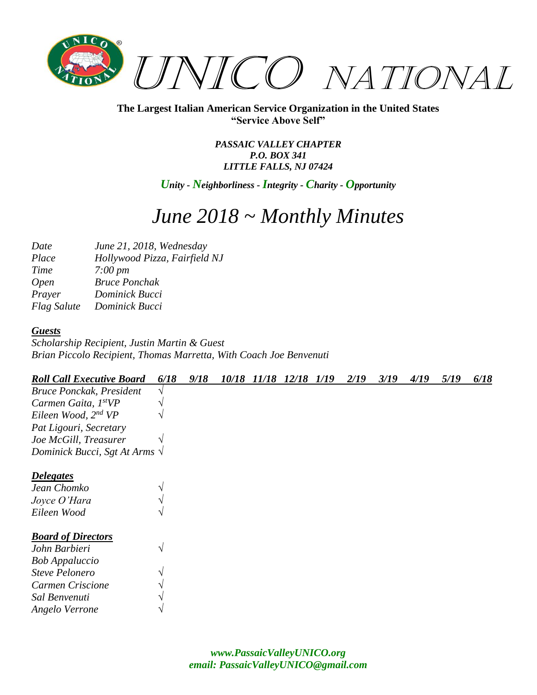

> *PASSAIC VALLEY CHAPTER P.O. BOX 341 LITTLE FALLS, NJ 07424*

*Unity - Neighborliness - Integrity - Charity - Opportunity*

# *June 2018 ~ Monthly Minutes*

| Date               | June 21, 2018, Wednesday      |
|--------------------|-------------------------------|
| Place              | Hollywood Pizza, Fairfield NJ |
| Time               | $7:00 \, \text{pm}$           |
| <i>Open</i>        | <b>Bruce Ponchak</b>          |
| Prayer             | Dominick Bucci                |
| <b>Flag Salute</b> | Dominick Bucci                |

#### *Guests*

*Scholarship Recipient, Justin Martin & Guest Brian Piccolo Recipient, Thomas Marretta, With Coach Joe Benvenuti*

| <b>Roll Call Executive Board</b>      | 6/18 | 9/18 | 10/18 | 11/18 12/18 | 1/19 | 2/19 | 3/19 | 4/19 | 5/19 | 6/18 |
|---------------------------------------|------|------|-------|-------------|------|------|------|------|------|------|
| <b>Bruce Ponckak, President</b>       |      |      |       |             |      |      |      |      |      |      |
| Carmen Gaita, 1stVP                   |      |      |       |             |      |      |      |      |      |      |
| Eileen Wood, 2 <sup>nd</sup> VP       |      |      |       |             |      |      |      |      |      |      |
| Pat Ligouri, Secretary                |      |      |       |             |      |      |      |      |      |      |
| Joe McGill, Treasurer                 |      |      |       |             |      |      |      |      |      |      |
| Dominick Bucci, Sgt At Arms $\sqrt{}$ |      |      |       |             |      |      |      |      |      |      |
| <b>Delegates</b>                      |      |      |       |             |      |      |      |      |      |      |
| Jean Chomko                           |      |      |       |             |      |      |      |      |      |      |
| Joyce O'Hara                          |      |      |       |             |      |      |      |      |      |      |
| Eileen Wood                           |      |      |       |             |      |      |      |      |      |      |
| <b>Board of Directors</b>             |      |      |       |             |      |      |      |      |      |      |
| John Barbieri                         |      |      |       |             |      |      |      |      |      |      |
| <b>Bob Appaluccio</b>                 |      |      |       |             |      |      |      |      |      |      |
| <b>Steve Pelonero</b>                 |      |      |       |             |      |      |      |      |      |      |
| Carmen Criscione                      |      |      |       |             |      |      |      |      |      |      |
| Sal Benvenuti                         |      |      |       |             |      |      |      |      |      |      |
| Angelo Verrone                        |      |      |       |             |      |      |      |      |      |      |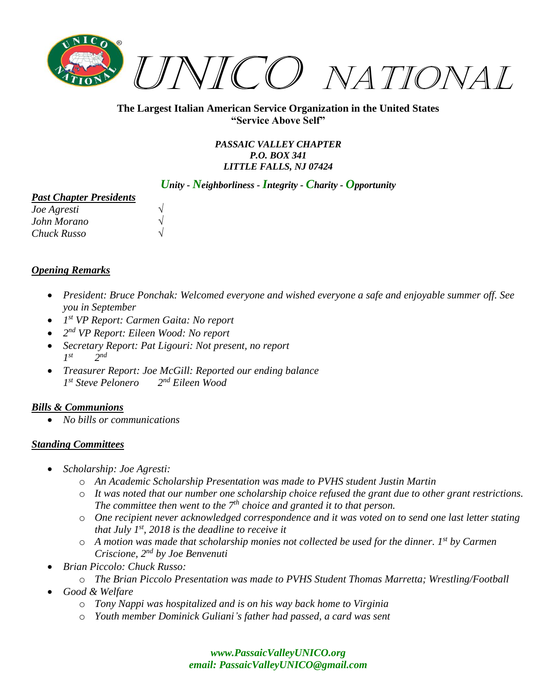

> *PASSAIC VALLEY CHAPTER P.O. BOX 341 LITTLE FALLS, NJ 07424*

## *Unity - Neighborliness - Integrity - Charity - Opportunity*

#### *Past Chapter Presidents*

| <i>Joe Agresti</i> |  |
|--------------------|--|
| John Morano        |  |
| Chuck Russo        |  |

## *Opening Remarks*

- *President: Bruce Ponchak: Welcomed everyone and wished everyone a safe and enjoyable summer off. See you in September*
- *1 st VP Report: Carmen Gaita: No report*
- *2 nd VP Report: Eileen Wood: No report*
- *Secretary Report: Pat Ligouri: Not present, no report 1 st 2 nd*
- *Treasurer Report: Joe McGill: Reported our ending balance 1 st Steve Pelonero 2 nd Eileen Wood*

## *Bills & Communions*

• *No bills or communications*

## *Standing Committees*

- *Scholarship: Joe Agresti:*
	- o *An Academic Scholarship Presentation was made to PVHS student Justin Martin*
	- o *It was noted that our number one scholarship choice refused the grant due to other grant restrictions. The committee then went to the 7th choice and granted it to that person.*
	- o *One recipient never acknowledged correspondence and it was voted on to send one last letter stating that July 1st, 2018 is the deadline to receive it*
	- o *A motion was made that scholarship monies not collected be used for the dinner. 1st by Carmen Criscione, 2nd by Joe Benvenuti*
- *Brian Piccolo: Chuck Russo:*
	- o *The Brian Piccolo Presentation was made to PVHS Student Thomas Marretta; Wrestling/Football*
- *Good & Welfare*
	- o *Tony Nappi was hospitalized and is on his way back home to Virginia*
	- o *Youth member Dominick Guliani's father had passed, a card was sent*

## *[www.PassaicValleyUNICO.org](http://www.passaicvalleyunico.org/) email: [PassaicValleyUNICO@gmail.com](mailto:PassaicValleyUNICO@gmail.com)*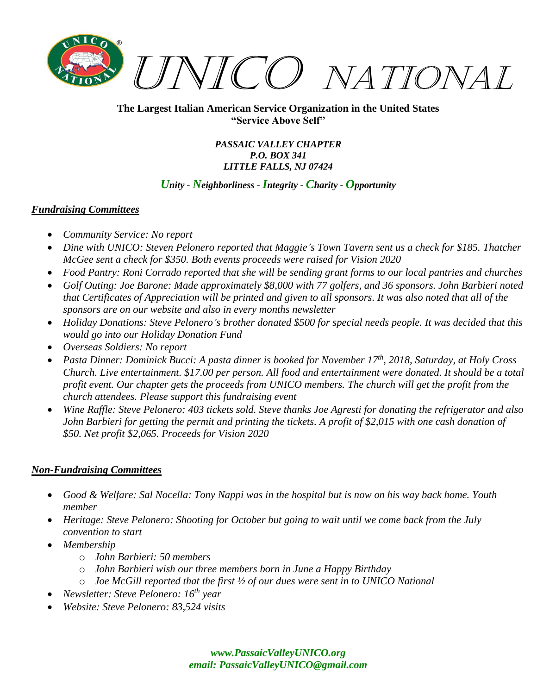

> *PASSAIC VALLEY CHAPTER P.O. BOX 341 LITTLE FALLS, NJ 07424*

## *Unity - Neighborliness - Integrity - Charity - Opportunity*

## *Fundraising Committees*

- *Community Service: No report*
- *Dine with UNICO: Steven Pelonero reported that Maggie's Town Tavern sent us a check for \$185. Thatcher McGee sent a check for \$350. Both events proceeds were raised for Vision 2020*
- *Food Pantry: Roni Corrado reported that she will be sending grant forms to our local pantries and churches*
- *Golf Outing: Joe Barone: Made approximately \$8,000 with 77 golfers, and 36 sponsors. John Barbieri noted that Certificates of Appreciation will be printed and given to all sponsors. It was also noted that all of the sponsors are on our website and also in every months newsletter*
- *Holiday Donations: Steve Pelonero's brother donated \$500 for special needs people. It was decided that this would go into our Holiday Donation Fund*
- *Overseas Soldiers: No report*
- *Pasta Dinner: Dominick Bucci: A pasta dinner is booked for November 17th, 2018, Saturday, at Holy Cross Church. Live entertainment. \$17.00 per person. All food and entertainment were donated. It should be a total profit event. Our chapter gets the proceeds from UNICO members. The church will get the profit from the church attendees. Please support this fundraising event*
- *Wine Raffle: Steve Pelonero: 403 tickets sold. Steve thanks Joe Agresti for donating the refrigerator and also John Barbieri for getting the permit and printing the tickets. A profit of \$2,015 with one cash donation of \$50. Net profit \$2,065. Proceeds for Vision 2020*

## *Non-Fundraising Committees*

- *Good & Welfare: Sal Nocella: Tony Nappi was in the hospital but is now on his way back home. Youth member*
- *Heritage: Steve Pelonero: Shooting for October but going to wait until we come back from the July convention to start*
- *Membership*
	- o *John Barbieri: 50 members*
	- o *John Barbieri wish our three members born in June a Happy Birthday*
	- o *Joe McGill reported that the first ½ of our dues were sent in to UNICO National*
- *Newsletter: Steve Pelonero: 16th year*
- *Website: Steve Pelonero: 83,524 visits*